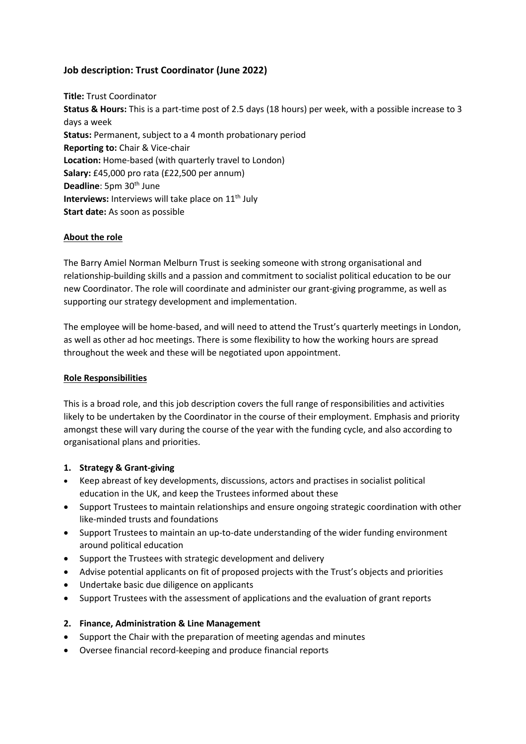# **Job description: Trust Coordinator (June 2022)**

**Title:** Trust Coordinator **Status & Hours:** This is a part-time post of 2.5 days (18 hours) per week, with a possible increase to 3 days a week **Status:** Permanent, subject to a 4 month probationary period **Reporting to:** Chair & Vice-chair **Location:** Home-based (with quarterly travel to London) **Salary:** £45,000 pro rata (£22,500 per annum) **Deadline**: 5pm 30<sup>th</sup> June **Interviews:** Interviews will take place on 11<sup>th</sup> July **Start date:** As soon as possible

## **About the role**

The Barry Amiel Norman Melburn Trust is seeking someone with strong organisational and relationship-building skills and a passion and commitment to socialist political education to be our new Coordinator. The role will coordinate and administer our grant-giving programme, as well as supporting our strategy development and implementation.

The employee will be home-based, and will need to attend the Trust's quarterly meetings in London, as well as other ad hoc meetings. There is some flexibility to how the working hours are spread throughout the week and these will be negotiated upon appointment.

#### **Role Responsibilities**

This is a broad role, and this job description covers the full range of responsibilities and activities likely to be undertaken by the Coordinator in the course of their employment. Emphasis and priority amongst these will vary during the course of the year with the funding cycle, and also according to organisational plans and priorities.

#### **1. Strategy & Grant-giving**

- Keep abreast of key developments, discussions, actors and practises in socialist political education in the UK, and keep the Trustees informed about these
- Support Trustees to maintain relationships and ensure ongoing strategic coordination with other like-minded trusts and foundations
- Support Trustees to maintain an up-to-date understanding of the wider funding environment around political education
- Support the Trustees with strategic development and delivery
- Advise potential applicants on fit of proposed projects with the Trust's objects and priorities
- Undertake basic due diligence on applicants
- Support Trustees with the assessment of applications and the evaluation of grant reports

## **2. Finance, Administration & Line Management**

- Support the Chair with the preparation of meeting agendas and minutes
- Oversee financial record-keeping and produce financial reports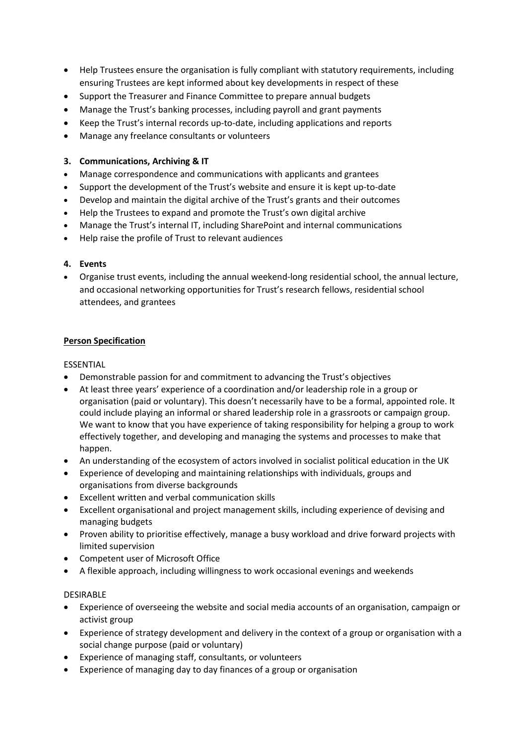- Help Trustees ensure the organisation is fully compliant with statutory requirements, including ensuring Trustees are kept informed about key developments in respect of these
- Support the Treasurer and Finance Committee to prepare annual budgets
- Manage the Trust's banking processes, including payroll and grant payments
- Keep the Trust's internal records up-to-date, including applications and reports
- Manage any freelance consultants or volunteers

## **3. Communications, Archiving & IT**

- Manage correspondence and communications with applicants and grantees
- Support the development of the Trust's website and ensure it is kept up-to-date
- Develop and maintain the digital archive of the Trust's grants and their outcomes
- Help the Trustees to expand and promote the Trust's own digital archive
- Manage the Trust's internal IT, including SharePoint and internal communications
- Help raise the profile of Trust to relevant audiences

## **4. Events**

• Organise trust events, including the annual weekend-long residential school, the annual lecture, and occasional networking opportunities for Trust's research fellows, residential school attendees, and grantees

## **Person Specification**

#### ESSENTIAL

- Demonstrable passion for and commitment to advancing the Trust's objectives
- At least three years' experience of a coordination and/or leadership role in a group or organisation (paid or voluntary). This doesn't necessarily have to be a formal, appointed role. It could include playing an informal or shared leadership role in a grassroots or campaign group. We want to know that you have experience of taking responsibility for helping a group to work effectively together, and developing and managing the systems and processes to make that happen.
- An understanding of the ecosystem of actors involved in socialist political education in the UK
- Experience of developing and maintaining relationships with individuals, groups and organisations from diverse backgrounds
- Excellent written and verbal communication skills
- Excellent organisational and project management skills, including experience of devising and managing budgets
- Proven ability to prioritise effectively, manage a busy workload and drive forward projects with limited supervision
- Competent user of Microsoft Office
- A flexible approach, including willingness to work occasional evenings and weekends

#### DESIRABLE

- Experience of overseeing the website and social media accounts of an organisation, campaign or activist group
- Experience of strategy development and delivery in the context of a group or organisation with a social change purpose (paid or voluntary)
- Experience of managing staff, consultants, or volunteers
- Experience of managing day to day finances of a group or organisation